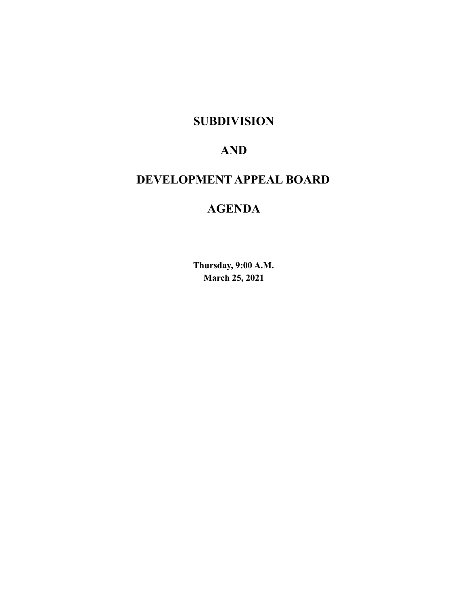# **SUBDIVISION**

# **AND**

# **DEVELOPMENT APPEAL BOARD**

# **AGENDA**

**Thursday, 9:00 A.M. March 25, 2021**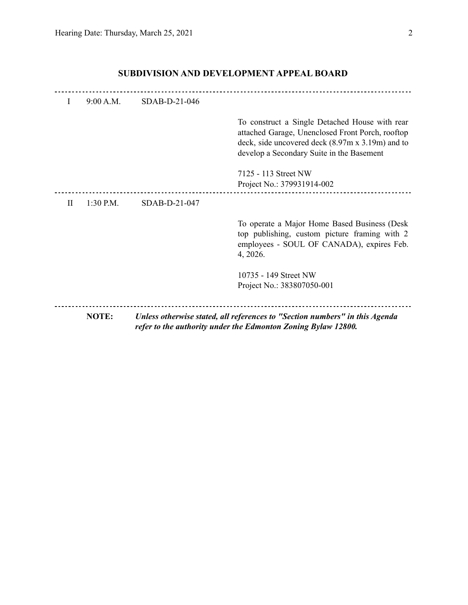|           | 9:00 A.M.   | SDAB-D-21-046 |                                                                                                                                                                                                     |
|-----------|-------------|---------------|-----------------------------------------------------------------------------------------------------------------------------------------------------------------------------------------------------|
|           |             |               | To construct a Single Detached House with rear<br>attached Garage, Unenclosed Front Porch, rooftop<br>deck, side uncovered deck (8.97m x 3.19m) and to<br>develop a Secondary Suite in the Basement |
|           |             |               | 7125 - 113 Street NW<br>Project No.: 379931914-002                                                                                                                                                  |
| $\rm{II}$ | $1:30$ P.M. | SDAB-D-21-047 |                                                                                                                                                                                                     |
|           |             |               | To operate a Major Home Based Business (Desk<br>top publishing, custom picture framing with 2<br>employees - SOUL OF CANADA), expires Feb.<br>4, 2026.                                              |
|           |             |               | 10735 - 149 Street NW<br>Project No.: 383807050-001                                                                                                                                                 |
|           | NOTE:       |               | Unless otherwise stated, all references to "Section numbers" in this Agenda<br>refer to the authority under the Edmonton Zoning Bylaw 12800.                                                        |

## **SUBDIVISION AND DEVELOPMENT APPEAL BOARD**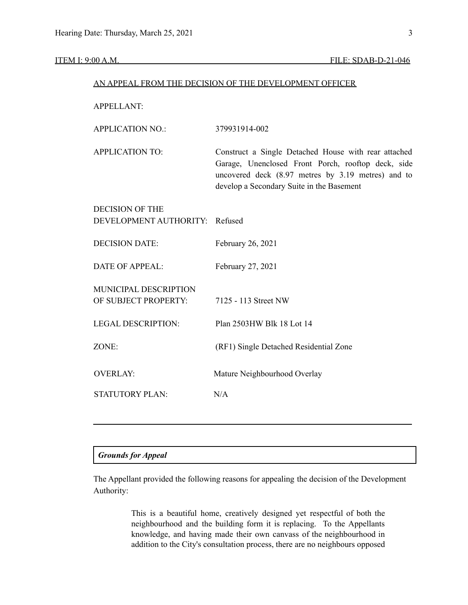| AN APPEAL FROM THE DECISION OF THE DEVELOPMENT OFFICER |
|--------------------------------------------------------|
|--------------------------------------------------------|

APPELLANT:

| <b>APPLICATION NO.:</b>                           | 379931914-002                                                                                                                                                                                                 |
|---------------------------------------------------|---------------------------------------------------------------------------------------------------------------------------------------------------------------------------------------------------------------|
| <b>APPLICATION TO:</b>                            | Construct a Single Detached House with rear attached<br>Garage, Unenclosed Front Porch, rooftop deck, side<br>uncovered deck (8.97 metres by 3.19 metres) and to<br>develop a Secondary Suite in the Basement |
| DECISION OF THE<br>DEVELOPMENT AUTHORITY: Refused |                                                                                                                                                                                                               |
|                                                   |                                                                                                                                                                                                               |
| <b>DECISION DATE:</b>                             | February 26, 2021                                                                                                                                                                                             |
| <b>DATE OF APPEAL:</b>                            | February 27, 2021                                                                                                                                                                                             |
| <b>MUNICIPAL DESCRIPTION</b>                      |                                                                                                                                                                                                               |
| OF SUBJECT PROPERTY:                              | 7125 - 113 Street NW                                                                                                                                                                                          |
| <b>LEGAL DESCRIPTION:</b>                         | Plan 2503HW Blk 18 Lot 14                                                                                                                                                                                     |
| ZONE:                                             | (RF1) Single Detached Residential Zone                                                                                                                                                                        |
| <b>OVERLAY:</b>                                   | Mature Neighbourhood Overlay                                                                                                                                                                                  |
| <b>STATUTORY PLAN:</b>                            | N/A                                                                                                                                                                                                           |
|                                                   |                                                                                                                                                                                                               |

## *Grounds for Appeal*

The Appellant provided the following reasons for appealing the decision of the Development Authority:

> This is a beautiful home, creatively designed yet respectful of both the neighbourhood and the building form it is replacing. To the Appellants knowledge, and having made their own canvass of the neighbourhood in addition to the City's consultation process, there are no neighbours opposed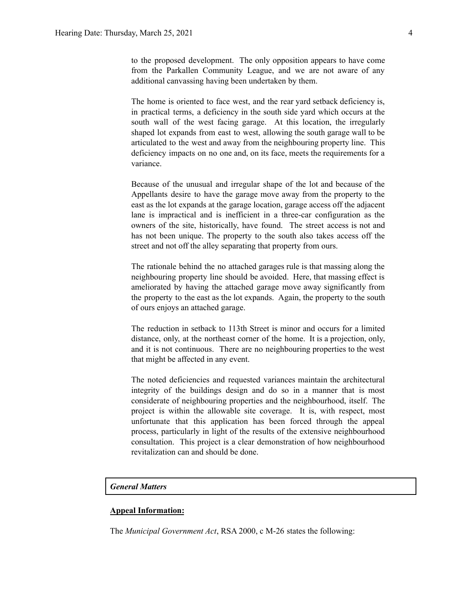to the proposed development. The only opposition appears to have come from the Parkallen Community League, and we are not aware of any additional canvassing having been undertaken by them.

The home is oriented to face west, and the rear yard setback deficiency is, in practical terms, a deficiency in the south side yard which occurs at the south wall of the west facing garage. At this location, the irregularly shaped lot expands from east to west, allowing the south garage wall to be articulated to the west and away from the neighbouring property line. This deficiency impacts on no one and, on its face, meets the requirements for a variance.

Because of the unusual and irregular shape of the lot and because of the Appellants desire to have the garage move away from the property to the east as the lot expands at the garage location, garage access off the adjacent lane is impractical and is inefficient in a three-car configuration as the owners of the site, historically, have found. The street access is not and has not been unique. The property to the south also takes access off the street and not off the alley separating that property from ours.

The rationale behind the no attached garages rule is that massing along the neighbouring property line should be avoided. Here, that massing effect is ameliorated by having the attached garage move away significantly from the property to the east as the lot expands. Again, the property to the south of ours enjoys an attached garage.

The reduction in setback to 113th Street is minor and occurs for a limited distance, only, at the northeast corner of the home. It is a projection, only, and it is not continuous. There are no neighbouring properties to the west that might be affected in any event.

The noted deficiencies and requested variances maintain the architectural integrity of the buildings design and do so in a manner that is most considerate of neighbouring properties and the neighbourhood, itself. The project is within the allowable site coverage. It is, with respect, most unfortunate that this application has been forced through the appeal process, particularly in light of the results of the extensive neighbourhood consultation. This project is a clear demonstration of how neighbourhood revitalization can and should be done.

#### *General Matters*

#### **Appeal Information:**

The *Municipal Government Act*, RSA 2000, c M-26 states the following: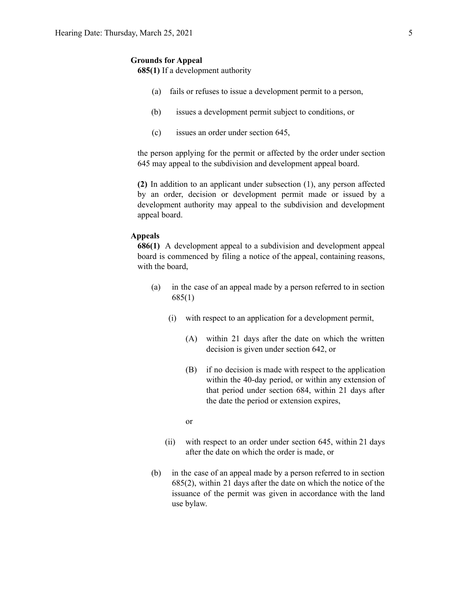#### **Grounds for Appeal**

**685(1)** If a development authority

- (a) fails or refuses to issue a development permit to a person,
- (b) issues a development permit subject to conditions, or
- (c) issues an order under section 645,

the person applying for the permit or affected by the order under section 645 may appeal to the subdivision and development appeal board.

**(2)** In addition to an applicant under subsection (1), any person affected by an order, decision or development permit made or issued by a development authority may appeal to the subdivision and development appeal board.

#### **Appeals**

**686(1)** A development appeal to a subdivision and development appeal board is commenced by filing a notice of the appeal, containing reasons, with the board,

- (a) in the case of an appeal made by a person referred to in section 685(1)
	- (i) with respect to an application for a development permit,
		- (A) within 21 days after the date on which the written decision is given under section 642, or
		- (B) if no decision is made with respect to the application within the 40-day period, or within any extension of that period under section 684, within 21 days after the date the period or extension expires,

or

- (ii) with respect to an order under section 645, within 21 days after the date on which the order is made, or
- (b) in the case of an appeal made by a person referred to in section 685(2), within 21 days after the date on which the notice of the issuance of the permit was given in accordance with the land use bylaw.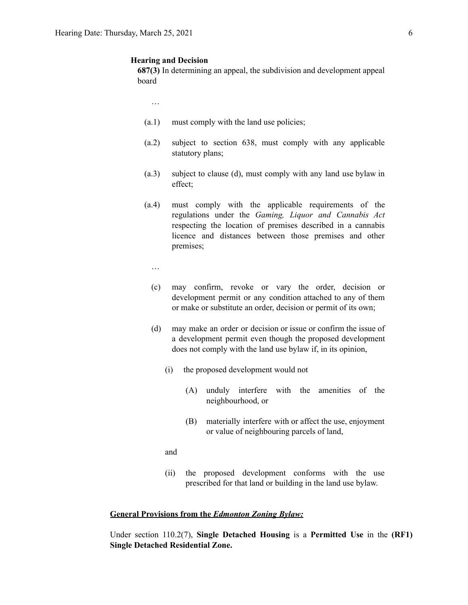#### **Hearing and Decision**

**687(3)** In determining an appeal, the subdivision and development appeal board

…

- (a.1) must comply with the land use policies;
- (a.2) subject to section 638, must comply with any applicable statutory plans;
- (a.3) subject to clause (d), must comply with any land use bylaw in effect;
- (a.4) must comply with the applicable requirements of the regulations under the *Gaming, Liquor and Cannabis Act* respecting the location of premises described in a cannabis licence and distances between those premises and other premises;
	- …
	- (c) may confirm, revoke or vary the order, decision or development permit or any condition attached to any of them or make or substitute an order, decision or permit of its own;
	- (d) may make an order or decision or issue or confirm the issue of a development permit even though the proposed development does not comply with the land use bylaw if, in its opinion,
		- (i) the proposed development would not
			- (A) unduly interfere with the amenities of the neighbourhood, or
			- (B) materially interfere with or affect the use, enjoyment or value of neighbouring parcels of land,

and

(ii) the proposed development conforms with the use prescribed for that land or building in the land use bylaw.

#### **General Provisions from the** *Edmonton Zoning Bylaw:*

Under section 110.2(7), **Single Detached Housing** is a **Permitted Use** in the **(RF1) Single Detached Residential Zone.**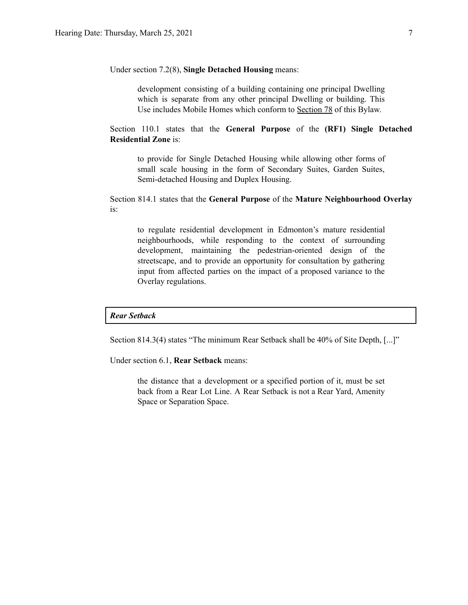Under section 7.2(8), **Single Detached Housing** means:

development consisting of a building containing one principal Dwelling which is separate from any other principal Dwelling or building. This Use includes Mobile Homes which conform to [Section](https://webdocs.edmonton.ca/zoningbylaw/ZoningBylaw/Part1/Special_Land/78__Mobile_Homes.htm) 78 of this Bylaw.

Section 110.1 states that the **General Purpose** of the **(RF1) Single Detached Residential Zone** is:

to provide for Single Detached Housing while allowing other forms of small scale housing in the form of Secondary Suites, Garden Suites, Semi-detached Housing and Duplex Housing.

Section 814.1 states that the **General Purpose** of the **Mature Neighbourhood Overlay** is:

to regulate residential development in Edmonton's mature residential neighbourhoods, while responding to the context of surrounding development, maintaining the pedestrian-oriented design of the streetscape, and to provide an opportunity for consultation by gathering input from affected parties on the impact of a proposed variance to the Overlay regulations.

#### *Rear Setback*

Section 814.3(4) states "The minimum Rear Setback shall be 40% of Site Depth, [...]"

Under section 6.1, **Rear Setback** means:

the distance that a development or a specified portion of it, must be set back from a Rear Lot Line. A Rear Setback is not a Rear Yard, Amenity Space or Separation Space.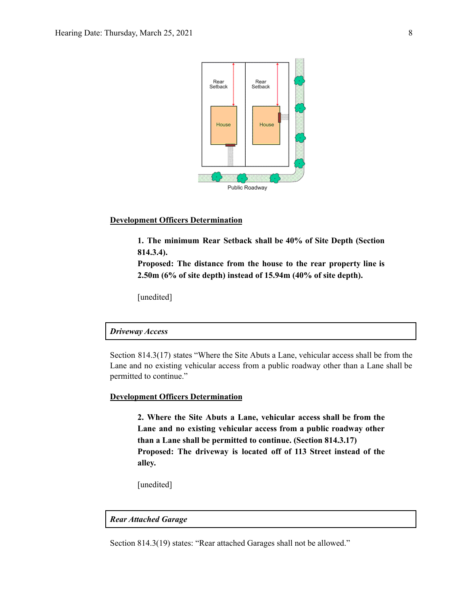

#### **Development Officers Determination**

**1. The minimum Rear Setback shall be 40% of Site Depth (Section 814.3.4).**

**Proposed: The distance from the house to the rear property line is 2.50m (6% of site depth) instead of 15.94m (40% of site depth).**

[unedited]

#### *Driveway Access*

Section 814.3(17) states "Where the Site Abuts a Lane, vehicular access shall be from the Lane and no existing vehicular access from a public roadway other than a Lane shall be permitted to continue."

#### **Development Officers Determination**

**2. Where the Site Abuts a Lane, vehicular access shall be from the Lane and no existing vehicular access from a public roadway other than a Lane shall be permitted to continue. (Section 814.3.17) Proposed: The driveway is located off of 113 Street instead of the alley.**

[unedited]

*Rear Attached Garage*

Section 814.3(19) states: "Rear attached Garages shall not be allowed."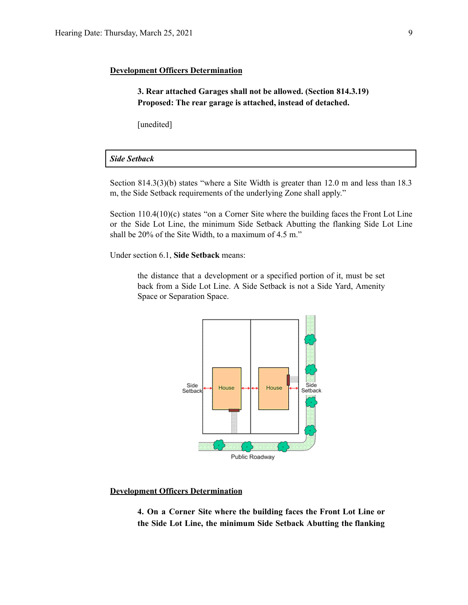#### **Development Officers Determination**

**3. Rear attached Garages shall not be allowed. (Section 814.3.19) Proposed: The rear garage is attached, instead of detached.**

[unedited]

#### *Side Setback*

Section 814.3(3)(b) states "where a Site Width is greater than 12.0 m and less than 18.3 m, the Side Setback requirements of the underlying Zone shall apply."

Section 110.4(10)(c) states "on a Corner Site where the building faces the Front Lot Line or the Side Lot Line, the minimum Side Setback Abutting the flanking Side Lot Line shall be 20% of the Site Width, to a maximum of 4.5 m."

Under section 6.1, **Side Setback** means:

the distance that a development or a specified portion of it, must be set back from a Side Lot Line. A Side Setback is not a Side Yard, Amenity Space or Separation Space.



#### **Development Officers Determination**

**4. On a Corner Site where the building faces the Front Lot Line or the Side Lot Line, the minimum Side Setback Abutting the flanking**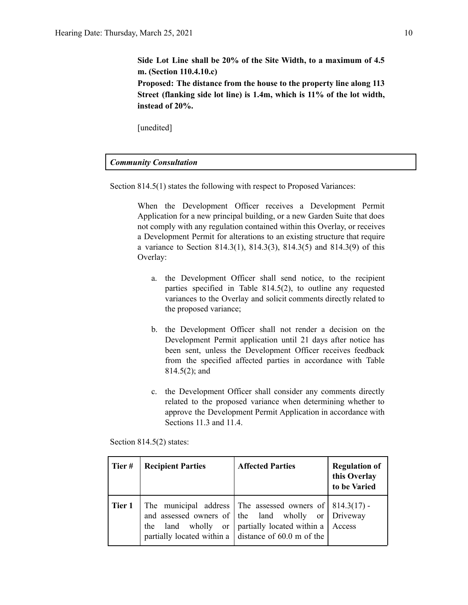**Side Lot Line shall be 20% of the Site Width, to a maximum of 4.5 m. (Section 110.4.10.c) Proposed: The distance from the house to the property line along 113**

**Street (flanking side lot line) is 1.4m, which is 11% of the lot width, instead of 20%.**

[unedited]

#### *Community Consultation*

Section 814.5(1) states the following with respect to Proposed Variances:

When the Development Officer receives a Development Permit Application for a new principal building, or a new Garden Suite that does not comply with any regulation contained within this Overlay, or receives a Development Permit for alterations to an existing structure that require a variance to Section 814.3(1), 814.3(3), 814.3(5) and 814.3(9) of this Overlay:

- a. the Development Officer shall send notice, to the recipient parties specified in Table 814.5(2), to outline any requested variances to the Overlay and solicit comments directly related to the proposed variance;
- b. the Development Officer shall not render a decision on the Development Permit application until 21 days after notice has been sent, unless the Development Officer receives feedback from the specified affected parties in accordance with Table 814.5(2); and
- c. the Development Officer shall consider any comments directly related to the proposed variance when determining whether to approve the Development Permit Application in accordance with Sections 11.3 and 11.4.

| Tier#  | <b>Recipient Parties</b> | <b>Affected Parties</b>                                                                                                                                                                                                            | <b>Regulation of</b><br>this Overlay<br>to be Varied |
|--------|--------------------------|------------------------------------------------------------------------------------------------------------------------------------------------------------------------------------------------------------------------------------|------------------------------------------------------|
| Tier 1 | the                      | The municipal address The assessed owners of $  814.3(17) -$<br>and assessed owners of the land wholly or Driveway<br>land wholly or   partially located within a   Access<br>partially located within a distance of 60.0 m of the |                                                      |

Section 814.5(2) states: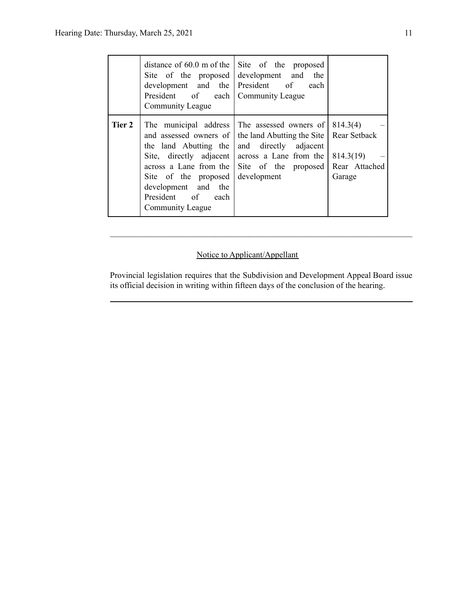|        | distance of $60.0$ m of the<br>Site of the proposed<br>development and the<br>President of each Community League<br>Community League                                                                                         | Site of the proposed<br>development and<br>the<br>President of<br>each                                                                         |                                                                  |
|--------|------------------------------------------------------------------------------------------------------------------------------------------------------------------------------------------------------------------------------|------------------------------------------------------------------------------------------------------------------------------------------------|------------------------------------------------------------------|
| Tier 2 | The municipal address<br>and assessed owners of<br>the land Abutting the<br>Site, directly adjacent<br>across a Lane from the<br>Site of the proposed<br>development and the<br>President of each<br><b>Community League</b> | The assessed owners of<br>the land Abutting the Site<br>and directly adjacent<br>across a Lane from the<br>Site of the proposed<br>development | 814.3(4)<br>Rear Setback<br>814.3(19)<br>Rear Attached<br>Garage |

## Notice to Applicant/Appellant

Provincial legislation requires that the Subdivision and Development Appeal Board issue its official decision in writing within fifteen days of the conclusion of the hearing.

 $\mathcal{L}_\text{max} = \frac{1}{2} \sum_{i=1}^n \mathcal{L}_\text{max} = \frac{1}{2} \sum_{i=1}^n \mathcal{L}_\text{max} = \frac{1}{2} \sum_{i=1}^n \mathcal{L}_\text{max} = \frac{1}{2} \sum_{i=1}^n \mathcal{L}_\text{max} = \frac{1}{2} \sum_{i=1}^n \mathcal{L}_\text{max} = \frac{1}{2} \sum_{i=1}^n \mathcal{L}_\text{max} = \frac{1}{2} \sum_{i=1}^n \mathcal{L}_\text{max} = \frac{1}{2} \sum_{i=$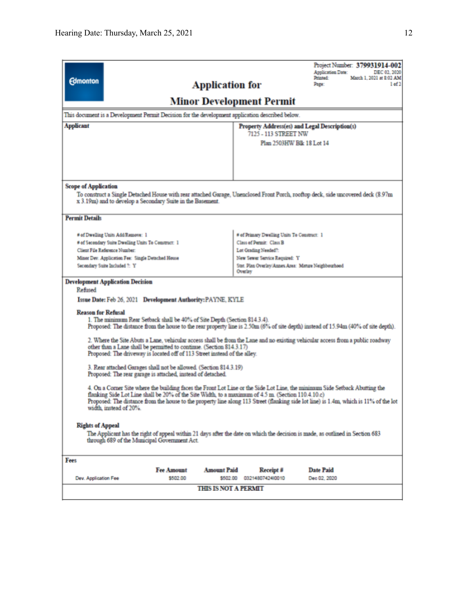| <b>Edmonton</b>                                                                                                                                                                                                                                                                                                                                                                                      |                                                                                                                                  |                                                            | <b>Application for</b>      |                                                                                                 | Project Number: 379931914-002<br><b>Application Date:</b><br>DEC 02, 2020<br>March 1, 2021 at 8:02 AM<br>Printed:<br>Page:<br>1 of 2 |  |  |
|------------------------------------------------------------------------------------------------------------------------------------------------------------------------------------------------------------------------------------------------------------------------------------------------------------------------------------------------------------------------------------------------------|----------------------------------------------------------------------------------------------------------------------------------|------------------------------------------------------------|-----------------------------|-------------------------------------------------------------------------------------------------|--------------------------------------------------------------------------------------------------------------------------------------|--|--|
| Minor Development Permit                                                                                                                                                                                                                                                                                                                                                                             |                                                                                                                                  |                                                            |                             |                                                                                                 |                                                                                                                                      |  |  |
|                                                                                                                                                                                                                                                                                                                                                                                                      |                                                                                                                                  |                                                            |                             | This document is a Development Permit Decision for the development application described below. |                                                                                                                                      |  |  |
| <b>Applicant</b>                                                                                                                                                                                                                                                                                                                                                                                     |                                                                                                                                  |                                                            |                             | 7125 - 113 STREET NW                                                                            | Property Address(es) and Legal Description(s)                                                                                        |  |  |
|                                                                                                                                                                                                                                                                                                                                                                                                      |                                                                                                                                  |                                                            |                             |                                                                                                 | Plan 2503HW Blk 18 Lot 14                                                                                                            |  |  |
| <b>Scope of Application</b>                                                                                                                                                                                                                                                                                                                                                                          |                                                                                                                                  |                                                            |                             |                                                                                                 |                                                                                                                                      |  |  |
|                                                                                                                                                                                                                                                                                                                                                                                                      |                                                                                                                                  | x 3.19m) and to develop a Secondary Suite in the Basement. |                             |                                                                                                 | To construct a Single Detached House with rear attached Garage, Unenclosed Front Porch, rooftop deck, side uncovered deck (8.97m     |  |  |
| <b>Permit Details</b>                                                                                                                                                                                                                                                                                                                                                                                |                                                                                                                                  |                                                            |                             |                                                                                                 |                                                                                                                                      |  |  |
|                                                                                                                                                                                                                                                                                                                                                                                                      | # of Dwelling Units Add/Remove: 1                                                                                                |                                                            |                             | # of Primary Dwelling Units To Construct: 1                                                     |                                                                                                                                      |  |  |
|                                                                                                                                                                                                                                                                                                                                                                                                      | # of Secondary Suite Dwelling Units To Construct: 1                                                                              |                                                            |                             | Class of Permit: Class B                                                                        |                                                                                                                                      |  |  |
|                                                                                                                                                                                                                                                                                                                                                                                                      | Client File Reference Number:                                                                                                    |                                                            |                             | Lot Grading Needed?:                                                                            |                                                                                                                                      |  |  |
|                                                                                                                                                                                                                                                                                                                                                                                                      | Minor Dev. Application Fee: Single Detached House                                                                                |                                                            |                             | New Sewer Service Required: Y<br>Stat. Plan Overlay/Annex Area: Mature Neighbourhood            |                                                                                                                                      |  |  |
| Secondary Suite Included 7: Y<br>Overlay                                                                                                                                                                                                                                                                                                                                                             |                                                                                                                                  |                                                            |                             |                                                                                                 |                                                                                                                                      |  |  |
| <b>Development Application Decision</b><br>Refused<br>Issue Date: Feb 26, 2021 Development Authority: PAYNE, KYLE<br><b>Reason for Refusal</b>                                                                                                                                                                                                                                                       |                                                                                                                                  |                                                            |                             |                                                                                                 |                                                                                                                                      |  |  |
| 1. The minimum Rear Setback shall be 40% of Site Depth (Section 814.3.4).<br>Proposed: The distance from the house to the rear property line is 2.50m (6% of site depth) instead of 15.94m (40% of site depth).                                                                                                                                                                                      |                                                                                                                                  |                                                            |                             |                                                                                                 |                                                                                                                                      |  |  |
| 2. Where the Site Abuts a Lane, vehicular access shall be from the Lane and no existing vehicular access from a public roadway<br>other than a Lane shall be permitted to continue. (Section 814.3.17)<br>Proposed: The driveway is located off of 113 Street instead of the alley.                                                                                                                  |                                                                                                                                  |                                                            |                             |                                                                                                 |                                                                                                                                      |  |  |
|                                                                                                                                                                                                                                                                                                                                                                                                      | 3. Rear attached Garages shall not be allowed. (Section 814.3.19)<br>Proposed: The rear garage is attached, instead of detached. |                                                            |                             |                                                                                                 |                                                                                                                                      |  |  |
| 4. On a Corner Site where the building faces the Front Lot Line or the Side Lot Line, the minimum Side Setback Abutting the<br>flanking Side Lot Line shall be 20% of the Site Width, to a maximum of 4.5 m. (Section 110.4.10.c)<br>Proposed: The distance from the house to the property line along 113 Street (flanking side lot line) is 1.4m, which is 11% of the lot<br>width, instead of 20%. |                                                                                                                                  |                                                            |                             |                                                                                                 |                                                                                                                                      |  |  |
| <b>Rights of Appeal</b><br>The Applicant has the right of appeal within 21 days after the date on which the decision is made, as outlined in Section 683<br>through 689 of the Municipal Government Act.                                                                                                                                                                                             |                                                                                                                                  |                                                            |                             |                                                                                                 |                                                                                                                                      |  |  |
| Fees                                                                                                                                                                                                                                                                                                                                                                                                 |                                                                                                                                  |                                                            |                             |                                                                                                 |                                                                                                                                      |  |  |
|                                                                                                                                                                                                                                                                                                                                                                                                      |                                                                                                                                  | <b>Fee Amount</b>                                          | <b>Amount Paid</b>          | $Receipt \neq$                                                                                  | <b>Date Paid</b>                                                                                                                     |  |  |
| Dev. Application Fee                                                                                                                                                                                                                                                                                                                                                                                 |                                                                                                                                  | \$502.00                                                   | \$502.00                    | 0321480742410010                                                                                | Dec 02, 2020                                                                                                                         |  |  |
|                                                                                                                                                                                                                                                                                                                                                                                                      |                                                                                                                                  |                                                            | <b>THIS IS NOT A PERMIT</b> |                                                                                                 |                                                                                                                                      |  |  |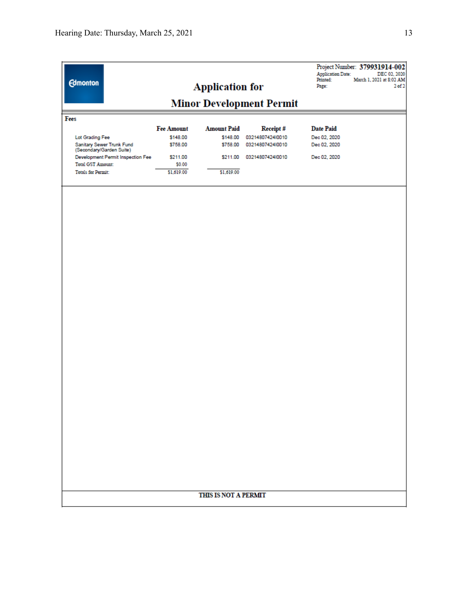| <b>Edmonton</b>                                               |                   | <b>Application for</b> |                                 | Project Number: 379931914-002<br><b>Application Date:</b><br>DEC 02, 2020<br>Printed:<br>March 1, 2021 at 8:02 AM<br>Page:<br>2 <sub>of</sub> 2 |
|---------------------------------------------------------------|-------------------|------------------------|---------------------------------|-------------------------------------------------------------------------------------------------------------------------------------------------|
|                                                               |                   |                        | <b>Minor Development Permit</b> |                                                                                                                                                 |
| Fees                                                          |                   |                        |                                 |                                                                                                                                                 |
|                                                               | <b>Fee Amount</b> | <b>Amount Paid</b>     | Receipt#                        | <b>Date Paid</b>                                                                                                                                |
| Lot Grading Fee                                               | \$148.00          | \$148.00               | 03214807424l0010                | Dec 02, 2020                                                                                                                                    |
| Sanitary Sewer Trunk Fund                                     | \$758.00          | \$758.00               | 03214807424l0010                | Dec 02, 2020                                                                                                                                    |
| (Secondary/Garden Suite)<br>Development Permit Inspection Fee | \$211.00          | \$211.00               | 03214807424l0010                | Dec 02, 2020                                                                                                                                    |
| <b>Total GST Amount:</b>                                      | \$0.00            |                        |                                 |                                                                                                                                                 |
| <b>Totals for Permit:</b>                                     | \$1,619.00        | \$1,619.00             |                                 |                                                                                                                                                 |
|                                                               |                   | THIS IS NOT A PERMIT   |                                 |                                                                                                                                                 |
|                                                               |                   |                        |                                 |                                                                                                                                                 |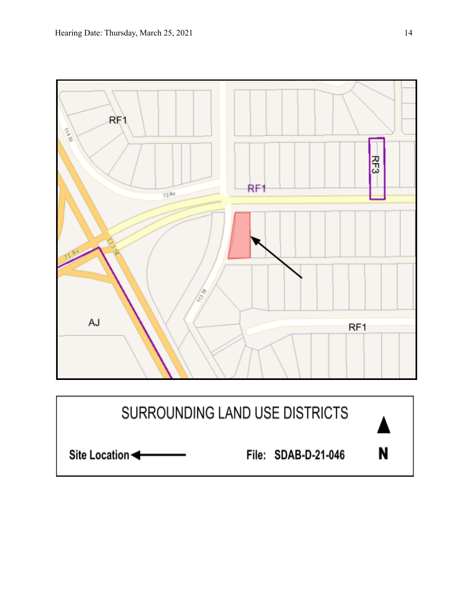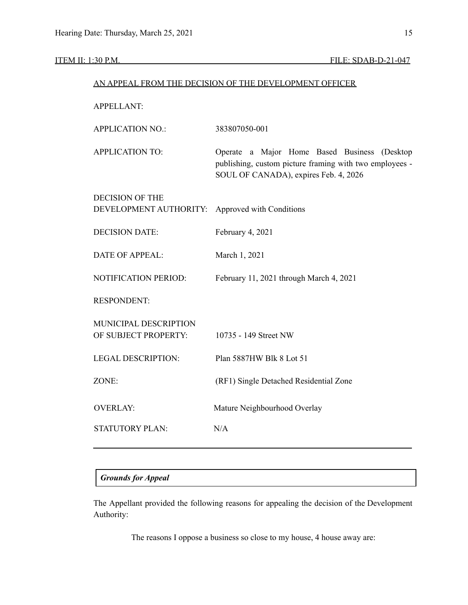|                             | AN APPEAL FROM THE DECISION OF THE DEVELOPMENT OFFICER                                                                                           |
|-----------------------------|--------------------------------------------------------------------------------------------------------------------------------------------------|
| <b>APPELLANT:</b>           |                                                                                                                                                  |
| <b>APPLICATION NO.:</b>     | 383807050-001                                                                                                                                    |
| <b>APPLICATION TO:</b>      | Operate a Major Home Based Business (Desktop<br>publishing, custom picture framing with two employees -<br>SOUL OF CANADA), expires Feb. 4, 2026 |
| <b>DECISION OF THE</b>      |                                                                                                                                                  |
| DEVELOPMENT AUTHORITY:      | Approved with Conditions                                                                                                                         |
| <b>DECISION DATE:</b>       | February 4, 2021                                                                                                                                 |
| <b>DATE OF APPEAL:</b>      | March 1, 2021                                                                                                                                    |
| <b>NOTIFICATION PERIOD:</b> | February 11, 2021 through March 4, 2021                                                                                                          |
| <b>RESPONDENT:</b>          |                                                                                                                                                  |
| MUNICIPAL DESCRIPTION       |                                                                                                                                                  |
| OF SUBJECT PROPERTY:        | 10735 - 149 Street NW                                                                                                                            |
| <b>LEGAL DESCRIPTION:</b>   | Plan 5887HW Blk 8 Lot 51                                                                                                                         |
| ZONE:                       | (RF1) Single Detached Residential Zone                                                                                                           |
| <b>OVERLAY:</b>             | Mature Neighbourhood Overlay                                                                                                                     |
| <b>STATUTORY PLAN:</b>      | N/A                                                                                                                                              |
|                             |                                                                                                                                                  |

## *Grounds for Appeal*

The Appellant provided the following reasons for appealing the decision of the Development Authority:

The reasons I oppose a business so close to my house, 4 house away are: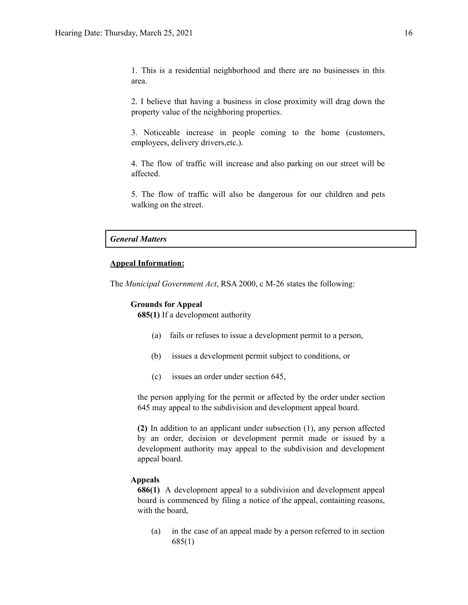1. This is a residential neighborhood and there are no businesses in this area.

2. I believe that having a business in close proximity will drag down the property value of the neighboring properties.

3. Noticeable increase in people coming to the home (customers, employees, delivery drivers,etc.).

4. The flow of traffic will increase and also parking on our street will be affected.

5. The flow of traffic will also be dangerous for our children and pets walking on the street.

#### *General Matters*

#### **Appeal Information:**

The *Municipal Government Act*, RSA 2000, c M-26 states the following:

#### **Grounds for Appeal**

**685(1)** If a development authority

- (a) fails or refuses to issue a development permit to a person,
- (b) issues a development permit subject to conditions, or
- (c) issues an order under section 645,

the person applying for the permit or affected by the order under section 645 may appeal to the subdivision and development appeal board.

**(2)** In addition to an applicant under subsection (1), any person affected by an order, decision or development permit made or issued by a development authority may appeal to the subdivision and development appeal board.

#### **Appeals**

**686(1)** A development appeal to a subdivision and development appeal board is commenced by filing a notice of the appeal, containing reasons, with the board,

(a) in the case of an appeal made by a person referred to in section 685(1)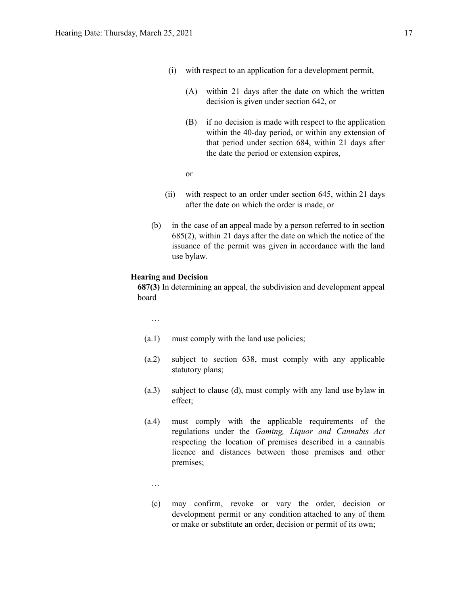- (i) with respect to an application for a development permit,
	- (A) within 21 days after the date on which the written decision is given under section 642, or
	- (B) if no decision is made with respect to the application within the 40-day period, or within any extension of that period under section 684, within 21 days after the date the period or extension expires,
	- or
- (ii) with respect to an order under section 645, within 21 days after the date on which the order is made, or
- (b) in the case of an appeal made by a person referred to in section 685(2), within 21 days after the date on which the notice of the issuance of the permit was given in accordance with the land use bylaw.

#### **Hearing and Decision**

**687(3)** In determining an appeal, the subdivision and development appeal board

…

- (a.1) must comply with the land use policies;
- (a.2) subject to section 638, must comply with any applicable statutory plans;
- (a.3) subject to clause (d), must comply with any land use bylaw in effect;
- (a.4) must comply with the applicable requirements of the regulations under the *Gaming, Liquor and Cannabis Act* respecting the location of premises described in a cannabis licence and distances between those premises and other premises;
	- …
	- (c) may confirm, revoke or vary the order, decision or development permit or any condition attached to any of them or make or substitute an order, decision or permit of its own;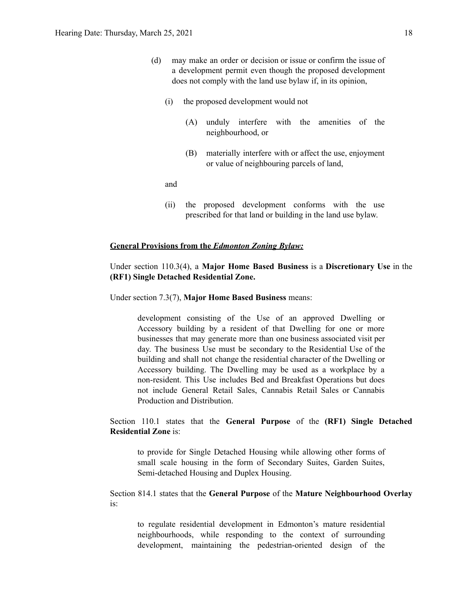- (d) may make an order or decision or issue or confirm the issue of a development permit even though the proposed development does not comply with the land use bylaw if, in its opinion,
	- (i) the proposed development would not
		- (A) unduly interfere with the amenities of the neighbourhood, or
		- (B) materially interfere with or affect the use, enjoyment or value of neighbouring parcels of land,

and

(ii) the proposed development conforms with the use prescribed for that land or building in the land use bylaw.

#### **General Provisions from the** *Edmonton Zoning Bylaw:*

### Under section 110.3(4), a **Major Home Based Business** is a **Discretionary Use** in the **(RF1) Single Detached Residential Zone.**

Under section 7.3(7), **Major Home Based Business** means:

development consisting of the Use of an approved Dwelling or Accessory building by a resident of that Dwelling for one or more businesses that may generate more than one business associated visit per day. The business Use must be secondary to the Residential Use of the building and shall not change the residential character of the Dwelling or Accessory building. The Dwelling may be used as a workplace by a non-resident. This Use includes Bed and Breakfast Operations but does not include General Retail Sales, Cannabis Retail Sales or Cannabis Production and Distribution.

### Section 110.1 states that the **General Purpose** of the **(RF1) Single Detached Residential Zone** is:

to provide for Single Detached Housing while allowing other forms of small scale housing in the form of Secondary Suites, Garden Suites, Semi-detached Housing and Duplex Housing.

Section 814.1 states that the **General Purpose** of the **Mature Neighbourhood Overlay** is:

to regulate residential development in Edmonton's mature residential neighbourhoods, while responding to the context of surrounding development, maintaining the pedestrian-oriented design of the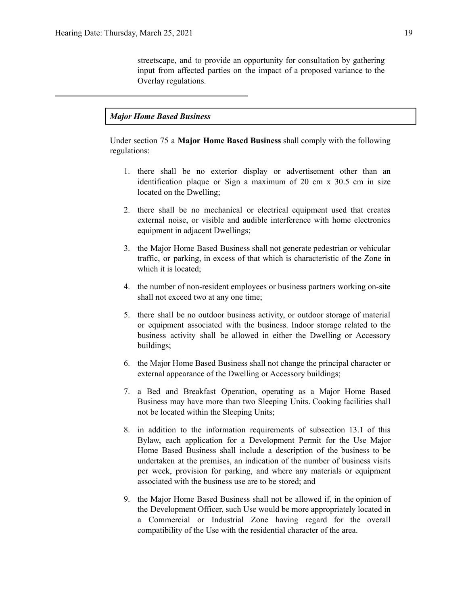streetscape, and to provide an opportunity for consultation by gathering input from affected parties on the impact of a proposed variance to the Overlay regulations.

#### *Major Home Based Business*

Under section 75 a **Major Home Based Business** shall comply with the following regulations:

- 1. there shall be no exterior display or advertisement other than an identification plaque or Sign a maximum of 20 cm x 30.5 cm in size located on the Dwelling;
- 2. there shall be no mechanical or electrical equipment used that creates external noise, or visible and audible interference with home electronics equipment in adjacent Dwellings;
- 3. the Major Home Based Business shall not generate pedestrian or vehicular traffic, or parking, in excess of that which is characteristic of the Zone in which it is located;
- 4. the number of non-resident employees or business partners working on-site shall not exceed two at any one time;
- 5. there shall be no outdoor business activity, or outdoor storage of material or equipment associated with the business. Indoor storage related to the business activity shall be allowed in either the Dwelling or Accessory buildings;
- 6. the Major Home Based Business shall not change the principal character or external appearance of the Dwelling or Accessory buildings;
- 7. a Bed and Breakfast Operation, operating as a Major Home Based Business may have more than two Sleeping Units. Cooking facilities shall not be located within the Sleeping Units;
- 8. in addition to the information requirements of subsection 13.1 of this Bylaw, each application for a Development Permit for the Use Major Home Based Business shall include a description of the business to be undertaken at the premises, an indication of the number of business visits per week, provision for parking, and where any materials or equipment associated with the business use are to be stored; and
- 9. the Major Home Based Business shall not be allowed if, in the opinion of the Development Officer, such Use would be more appropriately located in a Commercial or Industrial Zone having regard for the overall compatibility of the Use with the residential character of the area.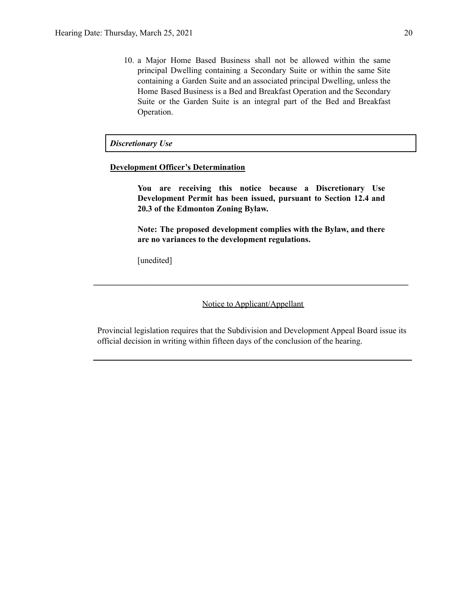10. a Major Home Based Business shall not be allowed within the same principal Dwelling containing a Secondary Suite or within the same Site containing a Garden Suite and an associated principal Dwelling, unless the Home Based Business is a Bed and Breakfast Operation and the Secondary Suite or the Garden Suite is an integral part of the Bed and Breakfast Operation.

#### *Discretionary Use*

#### **Development Officer's Determination**

**You are receiving this notice because a Discretionary Use Development Permit has been issued, pursuant to Section 12.4 and 20.3 of the Edmonton Zoning Bylaw.**

**Note: The proposed development complies with the Bylaw, and there are no variances to the development regulations.**

[unedited]

Notice to Applicant/Appellant

**\_\_\_\_\_\_\_\_\_\_\_\_\_\_\_\_\_\_\_\_\_\_\_\_\_\_\_\_\_\_\_\_\_\_\_\_\_\_\_\_\_\_\_\_\_\_\_\_\_\_\_\_\_\_\_\_\_\_\_\_\_\_\_\_\_\_\_\_\_\_\_\_\_\_\_**

Provincial legislation requires that the Subdivision and Development Appeal Board issue its official decision in writing within fifteen days of the conclusion of the hearing.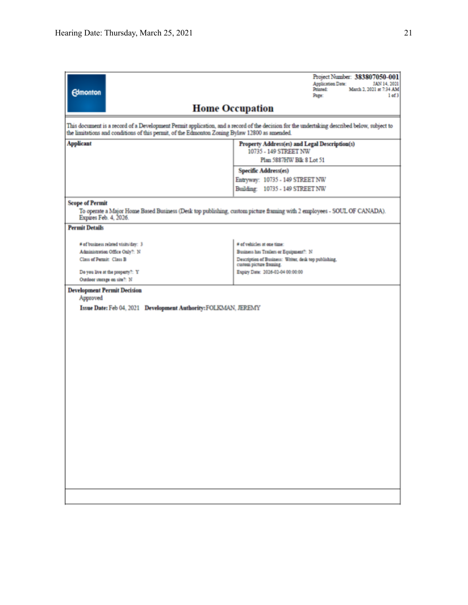| <b>Edmonton</b>                                                                               | Project Number: 383807050-001<br>Application Date:<br>JAN 14, 2021<br>Printed:<br>March 2, 2021 at 7:34 AM<br>Page:<br>1 of 3               |  |  |  |  |  |  |
|-----------------------------------------------------------------------------------------------|---------------------------------------------------------------------------------------------------------------------------------------------|--|--|--|--|--|--|
|                                                                                               | <b>Home Occupation</b>                                                                                                                      |  |  |  |  |  |  |
| the limitations and conditions of this permit, of the Edmonton Zoning Bylaw 12800 as amended. | This document is a record of a Development Permit application, and a record of the decision for the undertaking described below, subject to |  |  |  |  |  |  |
| <b>Applicant</b>                                                                              | Property Address(es) and Legal Description(s)<br>10735 - 149 STREET NW                                                                      |  |  |  |  |  |  |
|                                                                                               | Plan 5887HW Blk 8 Lot 51                                                                                                                    |  |  |  |  |  |  |
|                                                                                               | <b>Specific Address(es)</b><br>Entryway: 10735 - 149 STREET NW                                                                              |  |  |  |  |  |  |
|                                                                                               | Building: 10735 - 149 STREET NW                                                                                                             |  |  |  |  |  |  |
| <b>Scope of Permit</b><br>Expires Feb. 4, 2026.                                               | To operate a Major Home Based Business (Desk top publishing, custom picture framing with 2 employees - SOUL OF CANADA).                     |  |  |  |  |  |  |
| <b>Permit Details</b>                                                                         |                                                                                                                                             |  |  |  |  |  |  |
| # of business related visits/day: 3                                                           | # of vehicles at one time:                                                                                                                  |  |  |  |  |  |  |
| Administration Office Only?: N                                                                | Business has Trailers or Equipment?: N                                                                                                      |  |  |  |  |  |  |
| Class of Permit: Class B                                                                      | Description of Business: Writer, desk top publishing,<br>custom picture framing.                                                            |  |  |  |  |  |  |
| Do you live at the property?: Y                                                               | Expiry Date: 2026-02-04 00:00:00                                                                                                            |  |  |  |  |  |  |
| Outdoor storage on site?: N                                                                   |                                                                                                                                             |  |  |  |  |  |  |
| Approved                                                                                      | <b>Development Permit Decision</b>                                                                                                          |  |  |  |  |  |  |
| Issue Date: Feb 04, 2021 Development Authority: FOLKMAN, JEREMY                               |                                                                                                                                             |  |  |  |  |  |  |
|                                                                                               |                                                                                                                                             |  |  |  |  |  |  |
|                                                                                               |                                                                                                                                             |  |  |  |  |  |  |
|                                                                                               |                                                                                                                                             |  |  |  |  |  |  |
|                                                                                               |                                                                                                                                             |  |  |  |  |  |  |
|                                                                                               |                                                                                                                                             |  |  |  |  |  |  |
|                                                                                               |                                                                                                                                             |  |  |  |  |  |  |
|                                                                                               |                                                                                                                                             |  |  |  |  |  |  |
|                                                                                               |                                                                                                                                             |  |  |  |  |  |  |
|                                                                                               |                                                                                                                                             |  |  |  |  |  |  |
|                                                                                               |                                                                                                                                             |  |  |  |  |  |  |
|                                                                                               |                                                                                                                                             |  |  |  |  |  |  |
|                                                                                               |                                                                                                                                             |  |  |  |  |  |  |
|                                                                                               |                                                                                                                                             |  |  |  |  |  |  |
|                                                                                               |                                                                                                                                             |  |  |  |  |  |  |
|                                                                                               |                                                                                                                                             |  |  |  |  |  |  |
|                                                                                               |                                                                                                                                             |  |  |  |  |  |  |
|                                                                                               |                                                                                                                                             |  |  |  |  |  |  |
|                                                                                               |                                                                                                                                             |  |  |  |  |  |  |
|                                                                                               |                                                                                                                                             |  |  |  |  |  |  |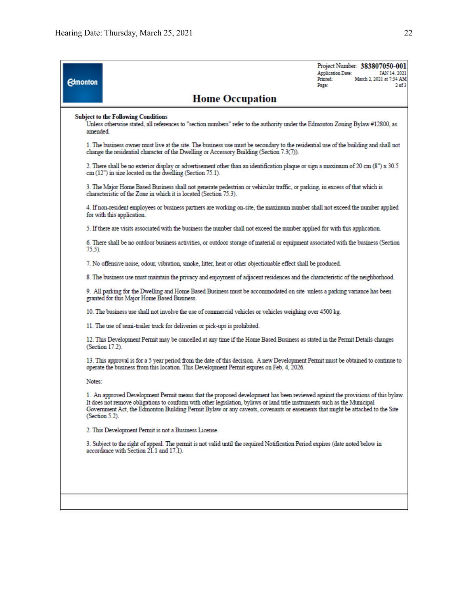| <b>Edmonton</b> |                                                                                                                                                                                                                                                                                                                                                                                                                | <b>Application Date:</b><br>Printed:<br>Page: | Project Number: 383807050-001<br>JAN 14, 2021<br>March 2, 2021 at 7:34 AM<br>$2$ of $3$ |
|-----------------|----------------------------------------------------------------------------------------------------------------------------------------------------------------------------------------------------------------------------------------------------------------------------------------------------------------------------------------------------------------------------------------------------------------|-----------------------------------------------|-----------------------------------------------------------------------------------------|
|                 | <b>Home Occupation</b>                                                                                                                                                                                                                                                                                                                                                                                         |                                               |                                                                                         |
| amended.        | <b>Subject to the Following Conditions</b><br>Unless otherwise stated, all references to "section numbers" refer to the authority under the Edmonton Zoning Bylaw #12800, as                                                                                                                                                                                                                                   |                                               |                                                                                         |
|                 | 1. The business owner must live at the site. The business use must be secondary to the residential use of the building and shall not<br>change the residential character of the Dwelling or Accessory Building (Section 7.3(7)).                                                                                                                                                                               |                                               |                                                                                         |
|                 | 2. There shall be no exterior display or advertisement other than an identification plaque or sign a maximum of 20 cm (8") x 30.5<br>cm (12") in size located on the dwelling (Section 75.1).                                                                                                                                                                                                                  |                                               |                                                                                         |
|                 | 3. The Major Home Based Business shall not generate pedestrian or vehicular traffic, or parking, in excess of that which is<br>characteristic of the Zone in which it is located (Section 75.3).                                                                                                                                                                                                               |                                               |                                                                                         |
|                 | 4. If non-resident employees or business partners are working on-site, the maximum number shall not exceed the number applied<br>for with this application.                                                                                                                                                                                                                                                    |                                               |                                                                                         |
|                 | 5. If there are visits associated with the business the number shall not exceed the number applied for with this application.                                                                                                                                                                                                                                                                                  |                                               |                                                                                         |
| 75.5).          | 6. There shall be no outdoor business activities, or outdoor storage of material or equipment associated with the business (Section                                                                                                                                                                                                                                                                            |                                               |                                                                                         |
|                 | 7. No offensive noise, odour, vibration, smoke, litter, heat or other objectionable effect shall be produced.                                                                                                                                                                                                                                                                                                  |                                               |                                                                                         |
|                 | 8. The business use must maintain the privacy and enjoyment of adjacent residences and the characteristic of the neighborhood.                                                                                                                                                                                                                                                                                 |                                               |                                                                                         |
|                 | 9. All parking for the Dwelling and Home Based Business must be accommodated on site unless a parking variance has been<br>granted for this Major Home Based Business.                                                                                                                                                                                                                                         |                                               |                                                                                         |
|                 | 10. The business use shall not involve the use of commercial vehicles or vehicles weighing over 4500 kg.                                                                                                                                                                                                                                                                                                       |                                               |                                                                                         |
|                 | 11. The use of semi-trailer truck for deliveries or pick-ups is prohibited.                                                                                                                                                                                                                                                                                                                                    |                                               |                                                                                         |
|                 | 12. This Development Permit may be cancelled at any time if the Home Based Business as stated in the Permit Details changes<br>(Section 17.2).                                                                                                                                                                                                                                                                 |                                               |                                                                                         |
|                 | 13. This approval is for a 5 year period from the date of this decision. A new Development Permit must be obtained to continue to<br>operate the business from this location. This Development Permit expires on Feb. 4, 2026.                                                                                                                                                                                 |                                               |                                                                                         |
| Notes:          |                                                                                                                                                                                                                                                                                                                                                                                                                |                                               |                                                                                         |
|                 | 1. An approved Development Permit means that the proposed development has been reviewed against the provisions of this bylaw.<br>It does not remove obligations to conform with other legislation, bylaws or land title instruments such as the Municipal<br>Government Act, the Edmonton Building Permit Bylaw or any caveats, covenants or easements that might be attached to the Site<br>(Section $5.2$ ). |                                               |                                                                                         |
|                 | 2. This Development Permit is not a Business License.                                                                                                                                                                                                                                                                                                                                                          |                                               |                                                                                         |
|                 | 3. Subject to the right of appeal. The permit is not valid until the required Notification Period expires (date noted below in<br>accordance with Section 21.1 and 17.1).                                                                                                                                                                                                                                      |                                               |                                                                                         |
|                 |                                                                                                                                                                                                                                                                                                                                                                                                                |                                               |                                                                                         |
|                 |                                                                                                                                                                                                                                                                                                                                                                                                                |                                               |                                                                                         |
|                 |                                                                                                                                                                                                                                                                                                                                                                                                                |                                               |                                                                                         |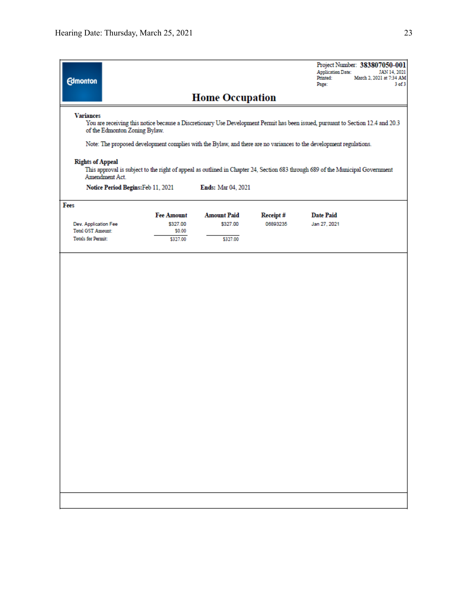| <b>Edmonton</b>                                       |                               |                                |                      | Project Number: 383807050-001<br><b>Application Date:</b><br>March 2, 2021 at 7:34 AM<br>Printed:<br>Page:                                                                                                                                            | JAN 14, 2021<br>$3$ of $3$ |
|-------------------------------------------------------|-------------------------------|--------------------------------|----------------------|-------------------------------------------------------------------------------------------------------------------------------------------------------------------------------------------------------------------------------------------------------|----------------------------|
|                                                       |                               | <b>Home Occupation</b>         |                      |                                                                                                                                                                                                                                                       |                            |
| <b>Variances</b><br>of the Edmonton Zoning Bylaw.     |                               |                                |                      | You are receiving this notice because a Discretionary Use Development Permit has been issued, pursuant to Section 12.4 and 20.3<br>Note: The proposed development complies with the Bylaw, and there are no variances to the development regulations. |                            |
| <b>Rights of Appeal</b><br>Amendment Act.             |                               |                                |                      | This approval is subject to the right of appeal as outlined in Chapter 24, Section 683 through 689 of the Municipal Government                                                                                                                        |                            |
| Notice Period Begins: Feb 11, 2021                    |                               | <b>Ends:</b> Mar 04, 2021      |                      |                                                                                                                                                                                                                                                       |                            |
| Fees<br>Dev. Application Fee                          | <b>Fee Amount</b><br>\$327.00 | <b>Amount Paid</b><br>\$327.00 | Receipt#<br>06893235 | <b>Date Paid</b><br>Jan 27, 2021                                                                                                                                                                                                                      |                            |
| <b>Total GST Amount:</b><br><b>Totals for Permit:</b> | \$0.00<br>\$327.00            | \$327.00                       |                      |                                                                                                                                                                                                                                                       |                            |
|                                                       |                               |                                |                      |                                                                                                                                                                                                                                                       |                            |
|                                                       |                               |                                |                      |                                                                                                                                                                                                                                                       |                            |